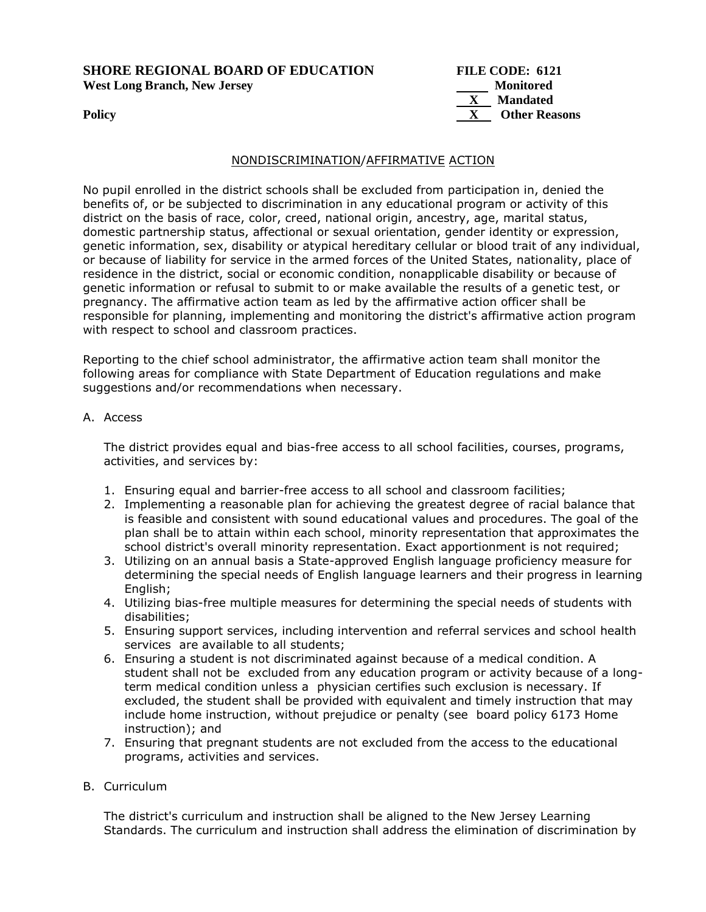**SHORE REGIONAL BOARD OF EDUCATION FILE CODE: 6121**  West Long Branch, New Jersey **Monitored** 

**Mandated Policy X** Other Reasons

## NONDISCRIMINATION/AFFIRMATIVE ACTION

No pupil enrolled in the district schools shall be excluded from participation in, denied the benefits of, or be subjected to discrimination in any educational program or activity of this district on the basis of race, color, creed, national origin, ancestry, age, marital status, domestic partnership status, affectional or sexual orientation, gender identity or expression, genetic information, sex, disability or atypical hereditary cellular or blood trait of any individual, or because of liability for service in the armed forces of the United States, nationality, place of residence in the district, social or economic condition, nonapplicable disability or because of genetic information or refusal to submit to or make available the results of a genetic test, or pregnancy. The affirmative action team as led by the affirmative action officer shall be responsible for planning, implementing and monitoring the district's affirmative action program with respect to school and classroom practices.

Reporting to the chief school administrator, the affirmative action team shall monitor the following areas for compliance with State Department of Education regulations and make suggestions and/or recommendations when necessary.

## A. Access

The district provides equal and bias-free access to all school facilities, courses, programs, activities, and services by:

- 1. Ensuring equal and barrier-free access to all school and classroom facilities;
- 2. Implementing a reasonable plan for achieving the greatest degree of racial balance that is feasible and consistent with sound educational values and procedures. The goal of the plan shall be to attain within each school, minority representation that approximates the school district's overall minority representation. Exact apportionment is not required;
- 3. Utilizing on an annual basis a State-approved English language proficiency measure for determining the special needs of English language learners and their progress in learning English;
- 4. Utilizing bias-free multiple measures for determining the special needs of students with disabilities;
- 5. Ensuring support services, including intervention and referral services and school health services are available to all students;
- 6. Ensuring a student is not discriminated against because of a medical condition. A student shall not be excluded from any education program or activity because of a longterm medical condition unless a physician certifies such exclusion is necessary. If excluded, the student shall be provided with equivalent and timely instruction that may include home instruction, without prejudice or penalty (see board policy 6173 Home instruction); and
- 7. Ensuring that pregnant students are not excluded from the access to the educational programs, activities and services.

# B. Curriculum

The district's curriculum and instruction shall be aligned to the New Jersey Learning Standards. The curriculum and instruction shall address the elimination of discrimination by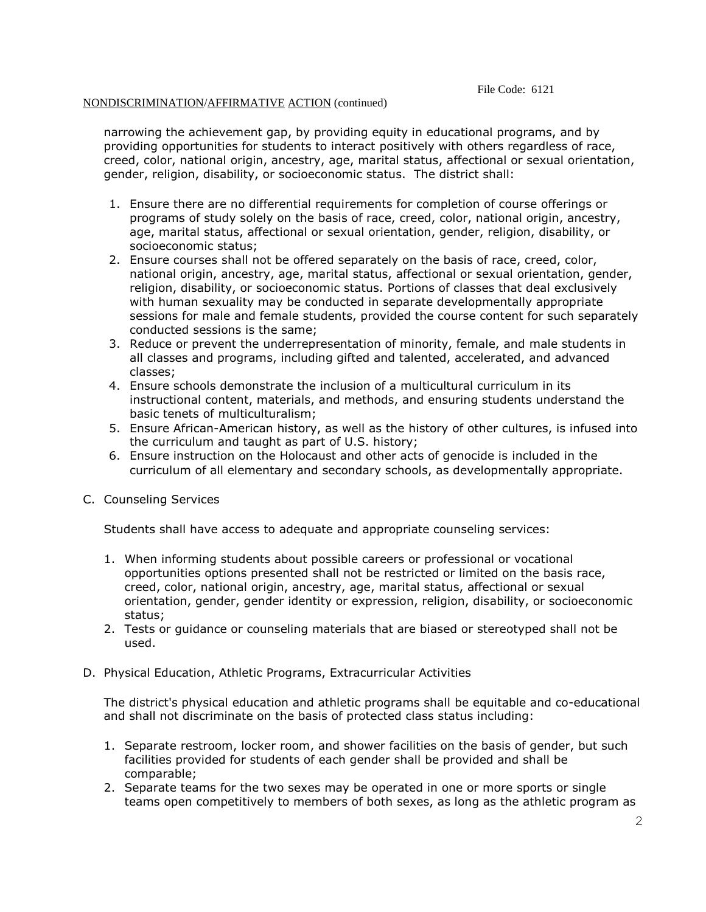### NONDISCRIMINATION/AFFIRMATIVE ACTION (continued)

narrowing the achievement gap, by providing equity in educational programs, and by providing opportunities for students to interact positively with others regardless of race, creed, color, national origin, ancestry, age, marital status, affectional or sexual orientation, gender, religion, disability, or socioeconomic status. The district shall:

- 1. Ensure there are no differential requirements for completion of course offerings or programs of study solely on the basis of race, creed, color, national origin, ancestry, age, marital status, affectional or sexual orientation, gender, religion, disability, or socioeconomic status;
- 2. Ensure courses shall not be offered separately on the basis of race, creed, color, national origin, ancestry, age, marital status, affectional or sexual orientation, gender, religion, disability, or socioeconomic status. Portions of classes that deal exclusively with human sexuality may be conducted in separate developmentally appropriate sessions for male and female students, provided the course content for such separately conducted sessions is the same;
- 3. Reduce or prevent the underrepresentation of minority, female, and male students in all classes and programs, including gifted and talented, accelerated, and advanced classes;
- 4. Ensure schools demonstrate the inclusion of a multicultural curriculum in its instructional content, materials, and methods, and ensuring students understand the basic tenets of multiculturalism;
- 5. Ensure African-American history, as well as the history of other cultures, is infused into the curriculum and taught as part of U.S. history;
- 6. Ensure instruction on the Holocaust and other acts of genocide is included in the curriculum of all elementary and secondary schools, as developmentally appropriate.
- C. Counseling Services

Students shall have access to adequate and appropriate counseling services:

- 1. When informing students about possible careers or professional or vocational opportunities options presented shall not be restricted or limited on the basis race, creed, color, national origin, ancestry, age, marital status, affectional or sexual orientation, gender, gender identity or expression, religion, disability, or socioeconomic status;
- 2. Tests or guidance or counseling materials that are biased or stereotyped shall not be used.
- D. Physical Education, Athletic Programs, Extracurricular Activities

The district's physical education and athletic programs shall be equitable and co-educational and shall not discriminate on the basis of protected class status including:

- 1. Separate restroom, locker room, and shower facilities on the basis of gender, but such facilities provided for students of each gender shall be provided and shall be comparable;
- 2. Separate teams for the two sexes may be operated in one or more sports or single teams open competitively to members of both sexes, as long as the athletic program as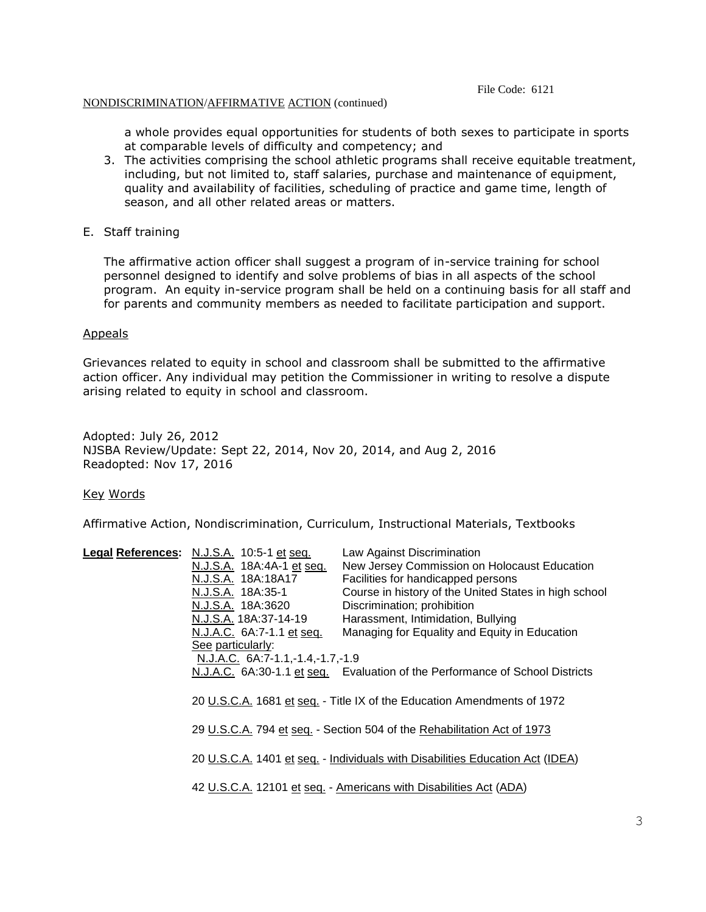#### File Code: 6121

#### NONDISCRIMINATION/AFFIRMATIVE ACTION (continued)

a whole provides equal opportunities for students of both sexes to participate in sports at comparable levels of difficulty and competency; and

- 3. The activities comprising the school athletic programs shall receive equitable treatment, including, but not limited to, staff salaries, purchase and maintenance of equipment, quality and availability of facilities, scheduling of practice and game time, length of season, and all other related areas or matters.
- E. Staff training

The affirmative action officer shall suggest a program of in-service training for school personnel designed to identify and solve problems of bias in all aspects of the school program. An equity in-service program shall be held on a continuing basis for all staff and for parents and community members as needed to facilitate participation and support.

#### Appeals

Grievances related to equity in school and classroom shall be submitted to the affirmative action officer. Any individual may petition the Commissioner in writing to resolve a dispute arising related to equity in school and classroom.

Adopted: July 26, 2012 NJSBA Review/Update: Sept 22, 2014, Nov 20, 2014, and Aug 2, 2016 Readopted: Nov 17, 2016

Key Words

Affirmative Action, Nondiscrimination, Curriculum, Instructional Materials, Textbooks

| Legal References: N.J.S.A. 10:5-1 et seq.                         | Law Against Discrimination                                                    |
|-------------------------------------------------------------------|-------------------------------------------------------------------------------|
| N.J.S.A. 18A:4A-1 et seq.                                         | New Jersey Commission on Holocaust Education                                  |
| N.J.S.A. 18A:18A17                                                | Facilities for handicapped persons                                            |
| N.J.S.A. 18A:35-1                                                 | Course in history of the United States in high school                         |
| N.J.S.A. 18A:3620                                                 | Discrimination; prohibition                                                   |
| N.J.S.A. 18A:37-14-19                                             | Harassment, Intimidation, Bullying                                            |
| N.J.A.C. 6A:7-1.1 et seq.                                         | Managing for Equality and Equity in Education                                 |
| See particularly:                                                 |                                                                               |
| N.J.A.C. 6A:7-1.1,-1.4,-1.7,-1.9                                  |                                                                               |
|                                                                   | N.J.A.C. 6A:30-1.1 et seq. Evaluation of the Performance of School Districts  |
|                                                                   |                                                                               |
|                                                                   | 20 U.S.C.A. 1681 et seq. - Title IX of the Education Amendments of 1972       |
|                                                                   |                                                                               |
|                                                                   | 29 U.S.C.A. 794 et seq. - Section 504 of the Rehabilitation Act of 1973       |
|                                                                   |                                                                               |
|                                                                   | 20 U.S.C.A. 1401 et seq. - Individuals with Disabilities Education Act (IDEA) |
|                                                                   |                                                                               |
| 42 U.S.C.A. 12101 et seq. - Americans with Disabilities Act (ADA) |                                                                               |
|                                                                   |                                                                               |